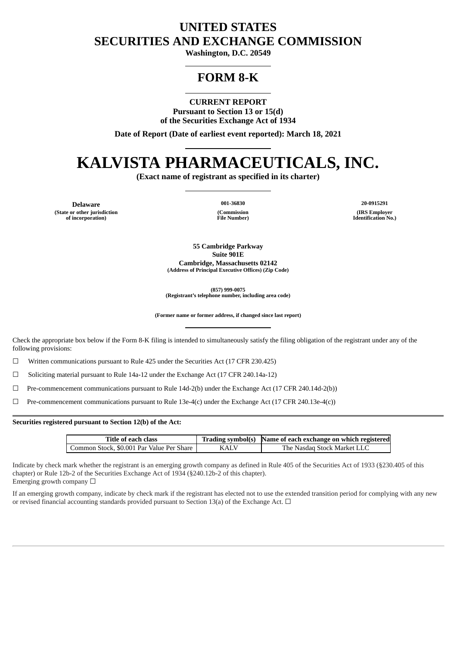# **UNITED STATES SECURITIES AND EXCHANGE COMMISSION**

**Washington, D.C. 20549**

# **FORM 8-K**

**CURRENT REPORT Pursuant to Section 13 or 15(d) of the Securities Exchange Act of 1934**

**Date of Report (Date of earliest event reported): March 18, 2021**

# **KALVISTA PHARMACEUTICALS, INC.**

**(Exact name of registrant as specified in its charter)**

**Delaware (State or other jurisdiction of incorporation)**

**(Commission File Number)**

**001-36830 20-0915291 (IRS Employer Identification No.)**

**55 Cambridge Parkway Suite 901E Cambridge, Massachusetts 02142 (Address of Principal Executive Offices) (Zip Code)**

**(857) 999-0075 (Registrant's telephone number, including area code)**

**(Former name or former address, if changed since last report)**

Check the appropriate box below if the Form 8-K filing is intended to simultaneously satisfy the filing obligation of the registrant under any of the following provisions:

 $\Box$  Written communications pursuant to Rule 425 under the Securities Act (17 CFR 230.425)

 $\Box$  Soliciting material pursuant to Rule 14a-12 under the Exchange Act (17 CFR 240.14a-12)

 $\Box$  Pre-commencement communications pursuant to Rule 14d-2(b) under the Exchange Act (17 CFR 240.14d-2(b))

☐ Pre-commencement communications pursuant to Rule 13e-4(c) under the Exchange Act (17 CFR 240.13e-4(c))

**Securities registered pursuant to Section 12(b) of the Act:**

| Title of each class                       |             | Trading symbol(s) Name of each exchange on which registered |
|-------------------------------------------|-------------|-------------------------------------------------------------|
| Common Stock, \$0.001 Par Value Per Share | <b>KALV</b> | The Nasdag Stock Market LLC                                 |

Indicate by check mark whether the registrant is an emerging growth company as defined in Rule 405 of the Securities Act of 1933 (§230.405 of this chapter) or Rule 12b-2 of the Securities Exchange Act of 1934 (§240.12b-2 of this chapter). Emerging growth company  $\Box$ 

If an emerging growth company, indicate by check mark if the registrant has elected not to use the extended transition period for complying with any new or revised financial accounting standards provided pursuant to Section 13(a) of the Exchange Act.  $\Box$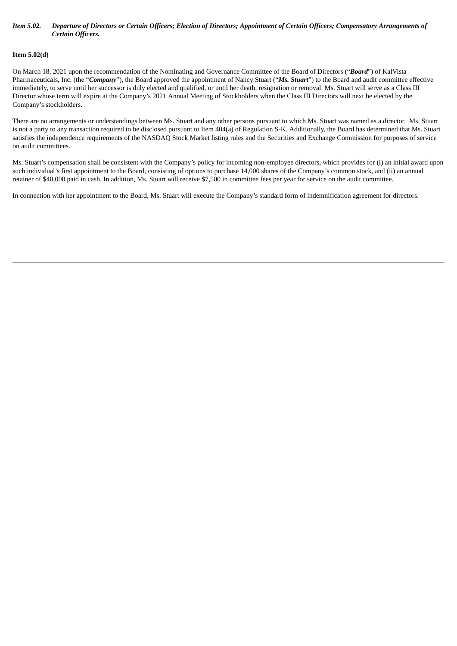#### Item 5.02. Departure of Directors or Certain Officers; Election of Directors; Appointment of Certain Officers; Compensatory Arrangements of *Certain Officers.*

## **Item 5.02(d)**

On March 18, 2021 upon the recommendation of the Nominating and Governance Committee of the Board of Directors ("*Board*") of KalVista Pharmaceuticals, Inc. (the "*Company*"), the Board approved the appointment of Nancy Stuart ("*Ms. Stuart*") to the Board and audit committee effective immediately, to serve until her successor is duly elected and qualified, or until her death, resignation or removal. Ms. Stuart will serve as a Class III Director whose term will expire at the Company's 2021 Annual Meeting of Stockholders when the Class III Directors will next be elected by the Company's stockholders.

There are no arrangements or understandings between Ms. Stuart and any other persons pursuant to which Ms. Stuart was named as a director. Ms. Stuart is not a party to any transaction required to be disclosed pursuant to Item 404(a) of Regulation S-K. Additionally, the Board has determined that Ms. Stuart satisfies the independence requirements of the NASDAQ Stock Market listing rules and the Securities and Exchange Commission for purposes of service on audit committees.

Ms. Stuart's compensation shall be consistent with the Company's policy for incoming non-employee directors, which provides for (i) an initial award upon such individual's first appointment to the Board, consisting of options to purchase 14,000 shares of the Company's common stock, and (ii) an annual retainer of \$40,000 paid in cash. In addition, Ms. Stuart will receive \$7,500 in committee fees per year for service on the audit committee.

In connection with her appointment to the Board, Ms. Stuart will execute the Company's standard form of indemnification agreement for directors.